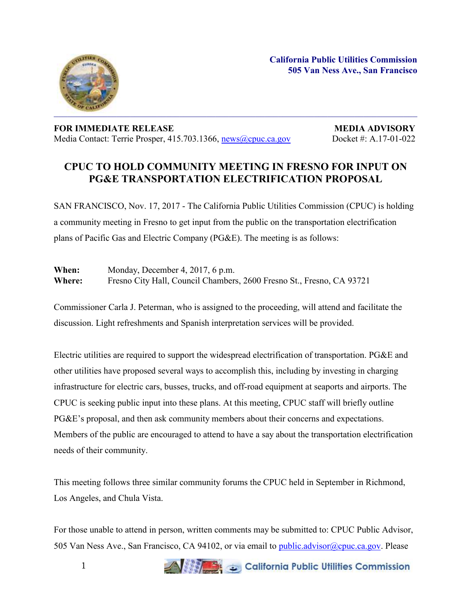

**FOR IMMEDIATE RELEASE MEDIA ADVISORY** Media Contact: Terrie Prosper, 415.703.1366, [news@cpuc.ca.gov](mailto:news@cpuc.ca.gov) Docket #: A.17-01-022

## **CPUC TO HOLD COMMUNITY MEETING IN FRESNO FOR INPUT ON PG&E TRANSPORTATION ELECTRIFICATION PROPOSAL**

SAN FRANCISCO, Nov. 17, 2017 - The California Public Utilities Commission (CPUC) is holding a community meeting in Fresno to get input from the public on the transportation electrification plans of Pacific Gas and Electric Company (PG&E). The meeting is as follows:

**When:** Monday, December 4, 2017, 6 p.m. **Where:** Fresno City Hall, Council Chambers, 2600 Fresno St., Fresno, CA 93721

Commissioner Carla J. Peterman, who is assigned to the proceeding, will attend and facilitate the discussion. Light refreshments and Spanish interpretation services will be provided.

Electric utilities are required to support the widespread electrification of transportation. PG&E and other utilities have proposed several ways to accomplish this, including by investing in charging infrastructure for electric cars, busses, trucks, and off-road equipment at seaports and airports. The CPUC is seeking public input into these plans. At this meeting, CPUC staff will briefly outline PG&E's proposal, and then ask community members about their concerns and expectations. Members of the public are encouraged to attend to have a say about the transportation electrification needs of their community.

This meeting follows three similar community forums the CPUC held in September in Richmond, Los Angeles, and Chula Vista.

For those unable to attend in person, written comments may be submitted to: CPUC Public Advisor, 505 Van Ness Ave., San Francisco, CA 94102, or via email to [public.advisor@cpuc.ca.gov.](mailto:public.advisor@cpuc.ca.gov) Please